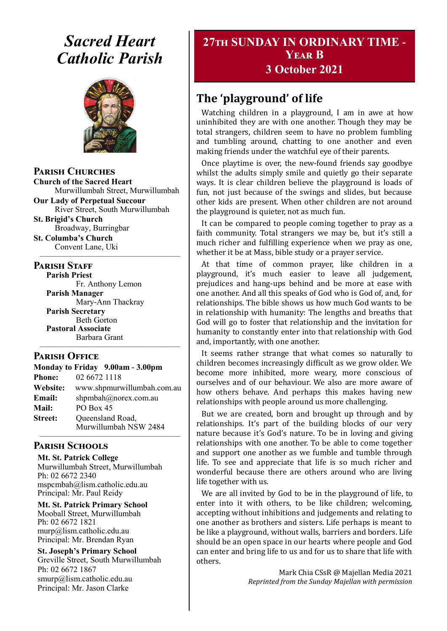# *Sacred Heart Catholic Parish*



**Parish Churches**

**Church of the Sacred Heart** Murwillumbah Street, Murwillumbah

**Our Lady of Perpetual Succour** River Street, South Murwillumbah

**St. Brigid's Church** Broadway, Burringbar **St. Columba's Church**

Convent Lane, Uki —————————————————

### **PARISH STAFF**

**Parish Priest** Fr. Anthony Lemon **Parish Manager** Mary-Ann Thackray **Parish Secretary** Beth Gorton **Pastoral Associate** Barbara Grant

### **Parish Office**

**Monday to Friday 9.00am - 3.00pm Phone:** 02 6672 1118 **Website:** www.shpmurwillumbah.com.au **Email:** shpmbah@norex.com.au **Mail:** PO Box 45 **Street:** Oueensland Road, Murwillumbah NSW 2484

—————————————————

#### ————————————————— **Parish Schools**

**Mt. St. Patrick College** Murwillumbah Street, Murwillumbah Ph: 02 6672 2340 mspcmbah@lism.catholic.edu.au Principal: Mr. Paul Reidy

**Mt. St. Patrick Primary School** Mooball Street, Murwillumbah Ph: 02 6672 1821 murp@lism.catholic.edu.au Principal: Mr. Brendan Ryan

**St. Joseph's Primary School** Greville Street, South Murwillumbah Ph: 02 6672 1867 smurp@lism.catholic.edu.au Principal: Mr. Jason Clarke

# **27th SUNDAY IN ORDINARY TIME - Year B 3 October 2021**

# **The 'playground' of life**

Watching children in a playground, I am in awe at how uninhibited they are with one another. Though they may be total strangers, children seem to have no problem fumbling and tumbling around, chatting to one another and even making friends under the watchful eye of their parents.

Once playtime is over, the new-found friends say goodbye whilst the adults simply smile and quietly go their separate ways. It is clear children believe the playground is loads of fun, not just because of the swings and slides, but because other kids are present. When other children are not around the playground is quieter, not as much fun.

It can be compared to people coming together to pray as a faith community. Total strangers we may be, but it's still a much richer and fulfilling experience when we pray as one, whether it be at Mass, bible study or a prayer service.

At that time of common prayer, like children in a playground, it's much easier to leave all judgement, prejudices and hang-ups behind and be more at ease with one another. And all this speaks of God who is God of, and, for relationships. The bible shows us how much God wants to be in relationship with humanity: The lengths and breaths that God will go to foster that relationship and the invitation for humanity to constantly enter into that relationship with God and, importantly, with one another.

It seems rather strange that what comes so naturally to children becomes increasingly difficult as we grow older. We become more inhibited, more weary, more conscious of ourselves and of our behaviour. We also are more aware of how others behave. And perhaps this makes having new relationships with people around us more challenging.

But we are created, born and brought up through and by relationships. It's part of the building blocks of our very nature because it's God's nature. To be in loving and giving relationships with one another. To be able to come together and support one another as we fumble and tumble through life. To see and appreciate that life is so much richer and wonderful because there are others around who are living life together with us.

We are all invited by God to be in the playground of life, to enter into it with others, to be like children; welcoming, accepting without inhibitions and judgements and relating to one another as brothers and sisters. Life perhaps is meant to be like a playground, without walls, barriers and borders. Life should be an open space in our hearts where people and God can enter and bring life to us and for us to share that life with others.

> Mark Chia CSsR @ Majellan Media 2021 *Reprinted from the Sunday Majellan with permission*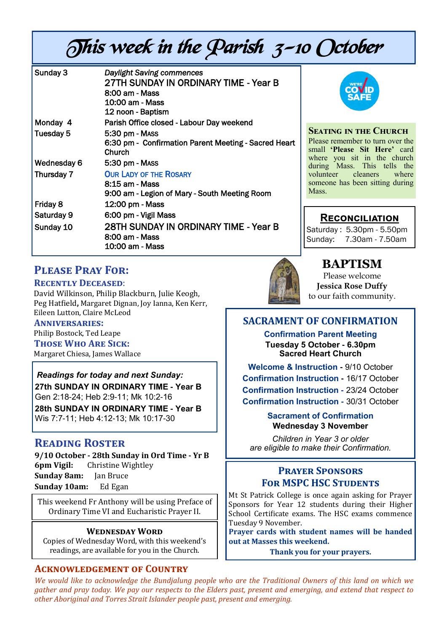# This week in the Parish 3-10 October

| Sunday 3    | <b>Daylight Saving commences</b><br>27TH SUNDAY IN ORDINARY TIME - Year B<br>8:00 am - Mass<br>10:00 am - Mass<br>12 noon - Baptism |
|-------------|-------------------------------------------------------------------------------------------------------------------------------------|
| Monday 4    | Parish Office closed - Labour Day weekend                                                                                           |
| Tuesday 5   | 5:30 pm - MASS<br>6:30 pm - Confirmation Parent Meeting - Sacred Heart<br>Church                                                    |
| Wednesday 6 | 5:30 pm - MASS                                                                                                                      |
| Thursday 7  | <b>OUR LADY OF THE ROSARY</b><br>8:15 am - Mass<br>9:00 am - Legion of Mary - South Meeting Room                                    |
| Friday 8    | 12:00 pm - Mass                                                                                                                     |
| Saturday 9  | 6:00 pm - Vigil Mass                                                                                                                |
| Sunday 10   | 28TH SUNDAY IN ORDINARY TIME - Year B<br>8:00 am - Mass<br>10:00 am - Mass                                                          |



**Seating in the Church** Please remember to turn over the small **'Please Sit Here'** card where you sit in the church during Mass. This tells the volunteer cleaners where someone has been sitting during Mass.

### **Reconciliation**

Saturday : 5.30pm - 5.50pm Sunday: 7.30am - 7.50am

# **Please Pray For:**

**Recently Deceased**: David Wilkinson, Philip Blackburn, Julie Keogh, Peg Hatfield**,** Margaret Dignan, Joy Ianna, Ken Kerr,

Eileen Lutton, Claire McLeod **Anniversaries:** 

Philip Bostock, Ted Leape **Those Who Are Sick:**  Margaret Chiesa, James Wallace

*Readings for today and next Sunday:*  **27th SUNDAY IN ORDINARY TIME - Year B**  Gen 2:18-24; Heb 2:9-11; Mk 10:2-16

**28th SUNDAY IN ORDINARY TIME - Year B**  Wis 7:7-11; Heb 4:12-13; Mk 10:17-30

# **Reading Roster**

**9/10 October - 28th Sunday in Ord Time - Yr B 6pm Vigil:** Christine Wightley **Sunday 8am:** Jan Bruce **Sunday 10am:** Ed Egan

This weekend Fr Anthony will be using Preface of Ordinary Time VI and Eucharistic Prayer II.

#### **Wednesday Word**

Copies of Wednesday Word, with this weekend's readings, are available for you in the Church.

### **Acknowledgement of Country**



**BAPTISM** Please welcome

**Jessica Rose Duffy** to our faith community.

### **SACRAMENT OF CONFIRMATION**

**Confirmation Parent Meeting Tuesday 5 October - 6.30pm Sacred Heart Church**

**Welcome & Instruction -** 9/10 October **Confirmation Instruction -** 16/17 October **Confirmation Instruction -** 23/24 October **Confirmation Instruction -** 30/31 October

### **Sacrament of Confirmation Wednesday 3 November**

*Children in Year 3 or older are eligible to make their Confirmation.*

### **Prayer Sponsors For MSPC HSC Students**

Mt St Patrick College is once again asking for Prayer Sponsors for Year 12 students during their Higher School Certificate exams. The HSC exams commence Tuesday 9 November.

**Prayer cards with student names will be handed out at Masses this weekend.** 

**Thank you for your prayers.**

*We would like to acknowledge the Bundjalung people who are the Traditional Owners of this land on which we gather and pray today. We pay our respects to the Elders past, present and emerging, and extend that respect to other Aboriginal and Torres Strait Islander people past, present and emerging.*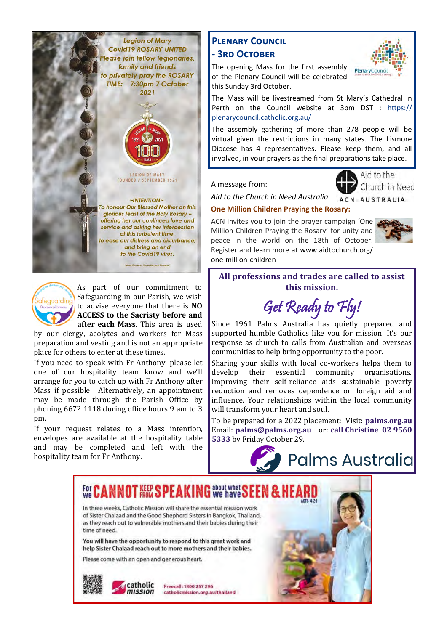



As part of our commitment to Safeguarding in our Parish, we wish to advise everyone that there is **NO ACCESS to the Sacristy before and after each Mass.** This area is used

by our clergy, acolytes and workers for Mass preparation and vesting and is not an appropriate place for others to enter at these times.

If you need to speak with Fr Anthony, please let one of our hospitality team know and we'll arrange for you to catch up with Fr Anthony after Mass if possible. Alternatively, an appointment may be made through the Parish Office by phoning 6672 1118 during office hours 9 am to 3 pm.

If your request relates to a Mass intention, envelopes are available at the hospitality table and may be completed and left with the hospitality team for Fr Anthony.

# **Plenary Council**



The opening Mass for the first assembly of the Plenary Council will be celebrated this Sunday 3rd October.



The Mass will be livestreamed from St Mary's Cathedral in Perth on the Council website at 3pm DST : https:// plenarycouncil.catholic.org.au/

The assembly gathering of more than 278 people will be virtual given the restrictions in many states. The Lismore Diocese has 4 representatives. Please keep them, and all involved, in your prayers as the final preparations take place.

A message from:



Church in Need ACN AUSTRALIA

*Aid to the Church in Need Australia*

#### **One Million Children Praying the Rosary:**

ACN invites you to join the prayer campaign 'One Million Children Praying the Rosary' for unity and peace in the world on the 18th of October. Register and learn more at [www.aidtochurch.org/](http://www.aidtochurch.org/one-million-children) one-million-[children](http://www.aidtochurch.org/one-million-children)



**All professions and trades are called to assist this mission.** 

Get Ready to Fly!

Since 1961 Palms Australia has quietly prepared and supported humble Catholics like you for mission. It's our response as church to calls from Australian and overseas communities to help bring opportunity to the poor.

Sharing your skills with local co-workers helps them to develop their essential community organisations. Improving their self-reliance aids sustainable poverty reduction and removes dependence on foreign aid and influence. Your relationships within the local community will transform your heart and soul.

To be prepared for a 2022 placement: Visit: **palms.org.au**  Email: **palms@palms.org.au** or: **call Christine 02 9560 5333** by Friday October 29.

**Palms Australia** 

#### FOI CANNOT FIELD SPEAKING about what SEEN & HEA In three weeks, Catholic Mission will share the essential mission work of Sister Chalaad and the Good Shepherd Sisters in Bangkok, Thailand, as they reach out to vulnerable mothers and their babies during their time of need. You will have the opportunity to respond to this great work and help Sister Chalaad reach out to more mothers and their babies. Please come with an open and generous heart. catholic Freecall: 1800 257 296 mission catholicmission.org.au/thailand